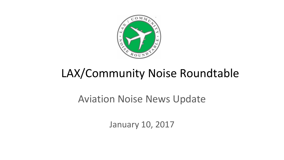

# LAX/Community Noise Roundtable

## Aviation Noise News Update

January 10, 2017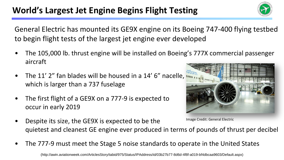## World's Largest Jet Engine Begins Flight Testing

General Electric has mounted its GE9X engine on its Boeing 747-400 flying testbed to begin flight tests of the largest jet engine ever developed

- The 105,000 lb. thrust engine will be installed on Boeing's 777X commercial passenger aircraft
- The 11' 2" fan blades will be housed in a 14' 6" nacelle, **unit** which is larger than a 737 fuselage
- The first flight of a GE9X on a 777-9 is expected to occur in early 2019
- Despite its size, the GE9X is expected to be the quietest and cleanest GE engine ever produced in terms of pounds of thrust per decibel Image Credit: General Electric
- The 777-9 must meet the Stage 5 noise standards to operate in the United States



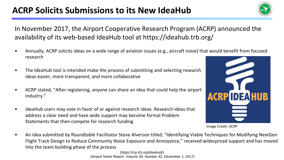## **ACRP Solicits Submissions to its New IdeaHub**



In November 2017, the Airport Cooperative Research Program (ACRP) announced the availability of its web-based IdeaHub tool at https://ideahub.trb.org/

- Annually, ACRP solicits ideas on a wide range of aviation issues (e.g., aircraft noise) that would benefit from focused research
- The IdeaHub tool is intended make the process of submitting and selecting research ideas easier, more transparent, and more collaborative
- ACRP stated, "After registering, anyone can share an idea that could help the airport industry."
- IdeaHub users may vote in favor of or against research ideas. Research ideas that address a clear need and have wide support may become formal Problem Statements that then compete for research funding



Image Credit: ACRP

• An idea submitted by Roundtable Facilitator Steve Alverson titled, "Identifying Viable Techniques for Modifying NextGen Flight Track Design to Reduce Community Noise Exposure and Annoyance," received widespread support and has moved into the team building phase of the process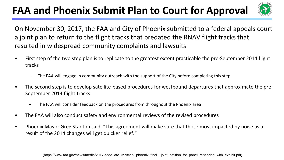## **FAA and Phoenix Submit Plan to Court for Approval**



On November 30, 2017, the FAA and City of Phoenix submitted to a federal appeals court a joint plan to return to the flight tracks that predated the RNAV flight tracks that resulted in widespread community complaints and lawsuits

- First step of the two step plan is to replicate to the greatest extent practicable the pre-September 2014 flight tracks
	- The FAA will engage in community outreach with the support of the City before completing this step
- The second step is to develop satellite-based procedures for westbound departures that approximate the pre-September 2014 flight tracks
	- The FAA will consider feedback on the procedures from throughout the Phoenix area
- The FAA will also conduct safety and environmental reviews of the revised procedures
- Phoenix Mayor Greg Stanton said, "This agreement will make sure that those most impacted by noise as a result of the 2014 changes will get quicker relief."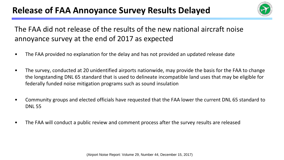## Release of FAA Annoyance Survey Results Delayed



#### The FAA did not release of the results of the new national aircraft noise annoyance survey at the end of 2017 as expected

- The FAA provided no explanation for the delay and has not provided an updated release date
- The survey, conducted at 20 unidentified airports nationwide, may provide the basis for the FAA to change the longstanding DNL 65 standard that is used to delineate incompatible land uses that may be eligible for federally funded noise mitigation programs such as sound insulation
- Community groups and elected officials have requested that the FAA lower the current DNL 65 standard to DNL 55
- The FAA will conduct a public review and comment process after the survey results are released